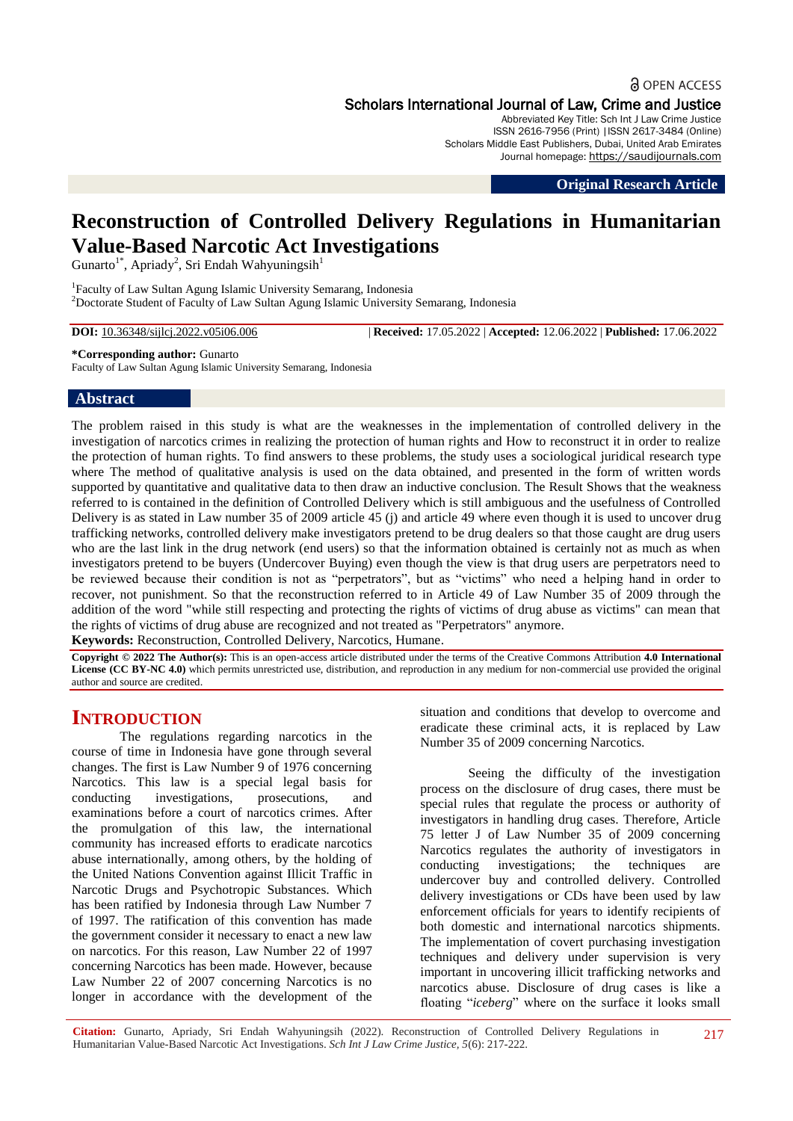## **a** OPEN ACCESS Scholars International Journal of Law, Crime and Justice

Abbreviated Key Title: Sch Int J Law Crime Justice ISSN 2616-7956 (Print) |ISSN 2617-3484 (Online) Scholars Middle East Publishers, Dubai, United Arab Emirates Journal homepage: https://saudijournals.com

**Original Research Article**

# **Reconstruction of Controlled Delivery Regulations in Humanitarian Value-Based Narcotic Act Investigations**

Gunarto<sup>1\*</sup>, Apriady<sup>2</sup>, Sri Endah Wahyuningsih<sup>1</sup>

<sup>1</sup>Faculty of Law Sultan Agung Islamic University Semarang, Indonesia <sup>2</sup>Doctorate Student of Faculty of Law Sultan Agung Islamic University Semarang, Indonesia

**DOI:** 10.36348/sijlcj.2022.v05i06.006 | **Received:** 17.05.2022 | **Accepted:** 12.06.2022 | **Published:** 17.06.2022

#### **\*Corresponding author:** Gunarto

Faculty of Law Sultan Agung Islamic University Semarang, Indonesia

#### **Abstract**

The problem raised in this study is what are the weaknesses in the implementation of controlled delivery in the investigation of narcotics crimes in realizing the protection of human rights and How to reconstruct it in order to realize the protection of human rights. To find answers to these problems, the study uses a sociological juridical research type where The method of qualitative analysis is used on the data obtained, and presented in the form of written words supported by quantitative and qualitative data to then draw an inductive conclusion. The Result Shows that the weakness referred to is contained in the definition of Controlled Delivery which is still ambiguous and the usefulness of Controlled Delivery is as stated in Law number 35 of 2009 article 45 (j) and article 49 where even though it is used to uncover drug trafficking networks, controlled delivery make investigators pretend to be drug dealers so that those caught are drug users who are the last link in the drug network (end users) so that the information obtained is certainly not as much as when investigators pretend to be buyers (Undercover Buying) even though the view is that drug users are perpetrators need to be reviewed because their condition is not as "perpetrators", but as "victims" who need a helping hand in order to recover, not punishment. So that the reconstruction referred to in Article 49 of Law Number 35 of 2009 through the addition of the word "while still respecting and protecting the rights of victims of drug abuse as victims" can mean that the rights of victims of drug abuse are recognized and not treated as "Perpetrators" anymore.

**Keywords:** Reconstruction, Controlled Delivery, Narcotics, Humane.

**Copyright © 2022 The Author(s):** This is an open-access article distributed under the terms of the Creative Commons Attribution **4.0 International License (CC BY-NC 4.0)** which permits unrestricted use, distribution, and reproduction in any medium for non-commercial use provided the original author and source are credited.

## **INTRODUCTION**

The regulations regarding narcotics in the course of time in Indonesia have gone through several changes. The first is Law Number 9 of 1976 concerning Narcotics. This law is a special legal basis for conducting investigations, prosecutions, and examinations before a court of narcotics crimes. After the promulgation of this law, the international community has increased efforts to eradicate narcotics abuse internationally, among others, by the holding of the United Nations Convention against Illicit Traffic in Narcotic Drugs and Psychotropic Substances. Which has been ratified by Indonesia through Law Number 7 of 1997. The ratification of this convention has made the government consider it necessary to enact a new law on narcotics. For this reason, Law Number 22 of 1997 concerning Narcotics has been made. However, because Law Number 22 of 2007 concerning Narcotics is no longer in accordance with the development of the

situation and conditions that develop to overcome and eradicate these criminal acts, it is replaced by Law Number 35 of 2009 concerning Narcotics.

Seeing the difficulty of the investigation process on the disclosure of drug cases, there must be special rules that regulate the process or authority of investigators in handling drug cases. Therefore, Article 75 letter J of Law Number 35 of 2009 concerning Narcotics regulates the authority of investigators in conducting investigations; the techniques are undercover buy and controlled delivery. Controlled delivery investigations or CDs have been used by law enforcement officials for years to identify recipients of both domestic and international narcotics shipments. The implementation of covert purchasing investigation techniques and delivery under supervision is very important in uncovering illicit trafficking networks and narcotics abuse. Disclosure of drug cases is like a floating "*iceberg*" where on the surface it looks small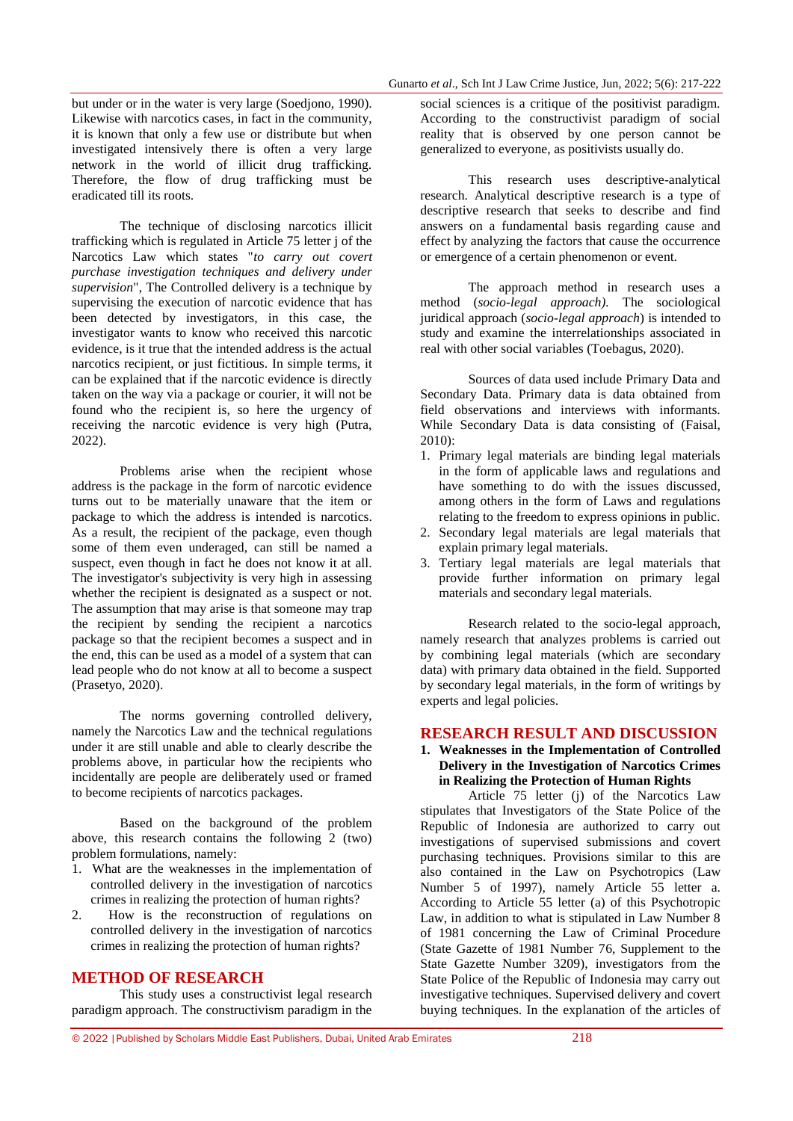but under or in the water is very large (Soedjono, 1990). Likewise with narcotics cases, in fact in the community, it is known that only a few use or distribute but when investigated intensively there is often a very large network in the world of illicit drug trafficking. Therefore, the flow of drug trafficking must be eradicated till its roots.

The technique of disclosing narcotics illicit trafficking which is regulated in Article 75 letter j of the Narcotics Law which states "*to carry out covert purchase investigation techniques and delivery under supervision*", The Controlled delivery is a technique by supervising the execution of narcotic evidence that has been detected by investigators, in this case, the investigator wants to know who received this narcotic evidence, is it true that the intended address is the actual narcotics recipient, or just fictitious. In simple terms, it can be explained that if the narcotic evidence is directly taken on the way via a package or courier, it will not be found who the recipient is, so here the urgency of receiving the narcotic evidence is very high (Putra, 2022).

Problems arise when the recipient whose address is the package in the form of narcotic evidence turns out to be materially unaware that the item or package to which the address is intended is narcotics. As a result, the recipient of the package, even though some of them even underaged, can still be named a suspect, even though in fact he does not know it at all. The investigator's subjectivity is very high in assessing whether the recipient is designated as a suspect or not. The assumption that may arise is that someone may trap the recipient by sending the recipient a narcotics package so that the recipient becomes a suspect and in the end, this can be used as a model of a system that can lead people who do not know at all to become a suspect (Prasetyo, 2020).

The norms governing controlled delivery, namely the Narcotics Law and the technical regulations under it are still unable and able to clearly describe the problems above, in particular how the recipients who incidentally are people are deliberately used or framed to become recipients of narcotics packages.

Based on the background of the problem above, this research contains the following 2 (two) problem formulations, namely:

- 1. What are the weaknesses in the implementation of controlled delivery in the investigation of narcotics crimes in realizing the protection of human rights?
- 2. How is the reconstruction of regulations on controlled delivery in the investigation of narcotics crimes in realizing the protection of human rights?

#### **METHOD OF RESEARCH**

This study uses a constructivist legal research paradigm approach. The constructivism paradigm in the

social sciences is a critique of the positivist paradigm. According to the constructivist paradigm of social reality that is observed by one person cannot be generalized to everyone, as positivists usually do.

This research uses descriptive-analytical research. Analytical descriptive research is a type of descriptive research that seeks to describe and find answers on a fundamental basis regarding cause and effect by analyzing the factors that cause the occurrence or emergence of a certain phenomenon or event.

The approach method in research uses a method (*socio-legal approach).* The sociological juridical approach (*socio-legal approach*) is intended to study and examine the interrelationships associated in real with other social variables (Toebagus, 2020).

Sources of data used include Primary Data and Secondary Data. Primary data is data obtained from field observations and interviews with informants. While Secondary Data is data consisting of (Faisal, 2010):

- 1. Primary legal materials are binding legal materials in the form of applicable laws and regulations and have something to do with the issues discussed, among others in the form of Laws and regulations relating to the freedom to express opinions in public.
- 2. Secondary legal materials are legal materials that explain primary legal materials.
- 3. Tertiary legal materials are legal materials that provide further information on primary legal materials and secondary legal materials.

Research related to the socio-legal approach, namely research that analyzes problems is carried out by combining legal materials (which are secondary data) with primary data obtained in the field. Supported by secondary legal materials, in the form of writings by experts and legal policies.

#### **RESEARCH RESULT AND DISCUSSION**

#### **1. Weaknesses in the Implementation of Controlled Delivery in the Investigation of Narcotics Crimes in Realizing the Protection of Human Rights**

Article 75 letter (i) of the Narcotics Law stipulates that Investigators of the State Police of the Republic of Indonesia are authorized to carry out investigations of supervised submissions and covert purchasing techniques. Provisions similar to this are also contained in the Law on Psychotropics (Law Number 5 of 1997), namely Article 55 letter a. According to Article 55 letter (a) of this Psychotropic Law, in addition to what is stipulated in Law Number 8 of 1981 concerning the Law of Criminal Procedure (State Gazette of 1981 Number 76, Supplement to the State Gazette Number 3209), investigators from the State Police of the Republic of Indonesia may carry out investigative techniques. Supervised delivery and covert buying techniques. In the explanation of the articles of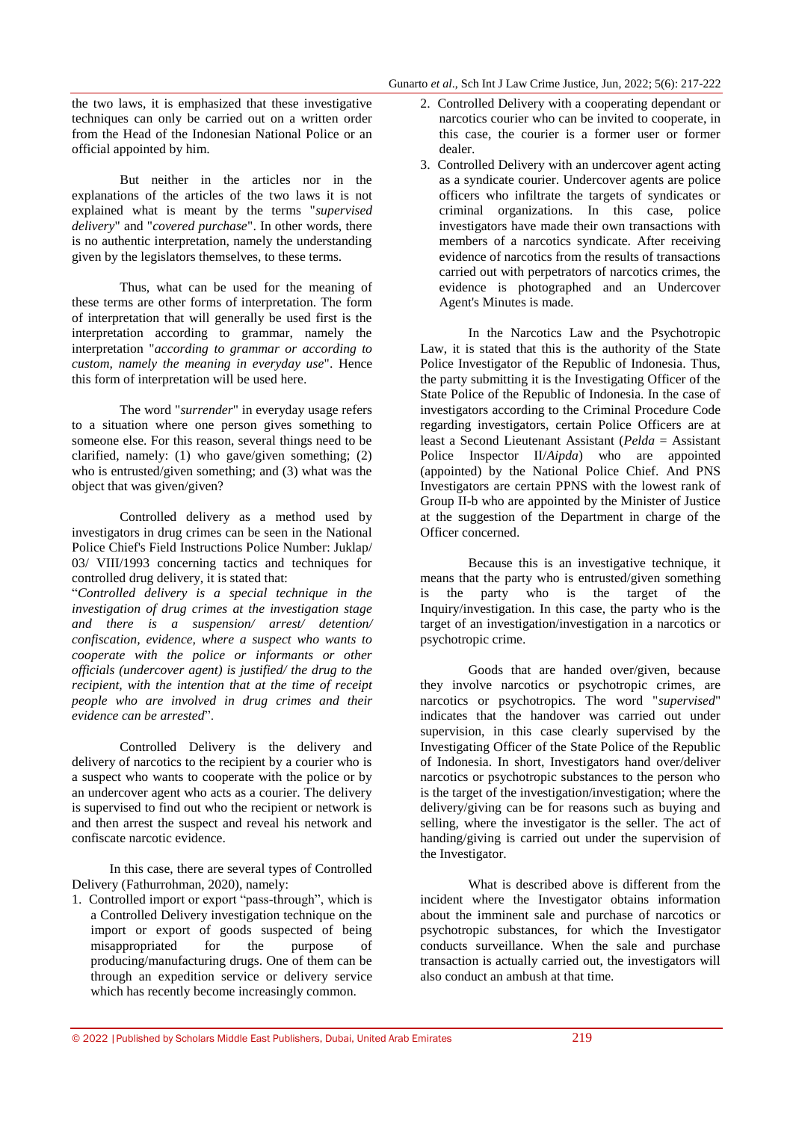the two laws, it is emphasized that these investigative techniques can only be carried out on a written order from the Head of the Indonesian National Police or an official appointed by him.

But neither in the articles nor in the explanations of the articles of the two laws it is not explained what is meant by the terms "*supervised delivery*" and "*covered purchase*". In other words, there is no authentic interpretation, namely the understanding given by the legislators themselves, to these terms.

Thus, what can be used for the meaning of these terms are other forms of interpretation. The form of interpretation that will generally be used first is the interpretation according to grammar, namely the interpretation "*according to grammar or according to custom, namely the meaning in everyday use*". Hence this form of interpretation will be used here.

The word "*surrender*" in everyday usage refers to a situation where one person gives something to someone else. For this reason, several things need to be clarified, namely: (1) who gave/given something; (2) who is entrusted/given something; and (3) what was the object that was given/given?

Controlled delivery as a method used by investigators in drug crimes can be seen in the National Police Chief's Field Instructions Police Number: Juklap/ 03/ VIII/1993 concerning tactics and techniques for controlled drug delivery, it is stated that:

"*Controlled delivery is a special technique in the investigation of drug crimes at the investigation stage and there is a suspension/ arrest/ detention/ confiscation, evidence, where a suspect who wants to cooperate with the police or informants or other officials (undercover agent) is justified/ the drug to the recipient, with the intention that at the time of receipt people who are involved in drug crimes and their evidence can be arrested*".

Controlled Delivery is the delivery and delivery of narcotics to the recipient by a courier who is a suspect who wants to cooperate with the police or by an undercover agent who acts as a courier. The delivery is supervised to find out who the recipient or network is and then arrest the suspect and reveal his network and confiscate narcotic evidence.

In this case, there are several types of Controlled Delivery (Fathurrohman, 2020), namely:

1. Controlled import or export "pass-through", which is a Controlled Delivery investigation technique on the import or export of goods suspected of being misappropriated for the purpose of producing/manufacturing drugs. One of them can be through an expedition service or delivery service which has recently become increasingly common.

- 2. Controlled Delivery with a cooperating dependant or narcotics courier who can be invited to cooperate, in this case, the courier is a former user or former dealer.
- 3. Controlled Delivery with an undercover agent acting as a syndicate courier. Undercover agents are police officers who infiltrate the targets of syndicates or criminal organizations. In this case, police investigators have made their own transactions with members of a narcotics syndicate. After receiving evidence of narcotics from the results of transactions carried out with perpetrators of narcotics crimes, the evidence is photographed and an Undercover Agent's Minutes is made.

In the Narcotics Law and the Psychotropic Law, it is stated that this is the authority of the State Police Investigator of the Republic of Indonesia. Thus, the party submitting it is the Investigating Officer of the State Police of the Republic of Indonesia. In the case of investigators according to the Criminal Procedure Code regarding investigators, certain Police Officers are at least a Second Lieutenant Assistant (*Pelda* = Assistant Police Inspector II/*Aipda*) who are appointed (appointed) by the National Police Chief. And PNS Investigators are certain PPNS with the lowest rank of Group II-b who are appointed by the Minister of Justice at the suggestion of the Department in charge of the Officer concerned.

Because this is an investigative technique, it means that the party who is entrusted/given something is the party who is the target of the Inquiry/investigation. In this case, the party who is the target of an investigation/investigation in a narcotics or psychotropic crime.

Goods that are handed over/given, because they involve narcotics or psychotropic crimes, are narcotics or psychotropics. The word "*supervised*" indicates that the handover was carried out under supervision, in this case clearly supervised by the Investigating Officer of the State Police of the Republic of Indonesia. In short, Investigators hand over/deliver narcotics or psychotropic substances to the person who is the target of the investigation/investigation; where the delivery/giving can be for reasons such as buying and selling, where the investigator is the seller. The act of handing/giving is carried out under the supervision of the Investigator.

What is described above is different from the incident where the Investigator obtains information about the imminent sale and purchase of narcotics or psychotropic substances, for which the Investigator conducts surveillance. When the sale and purchase transaction is actually carried out, the investigators will also conduct an ambush at that time.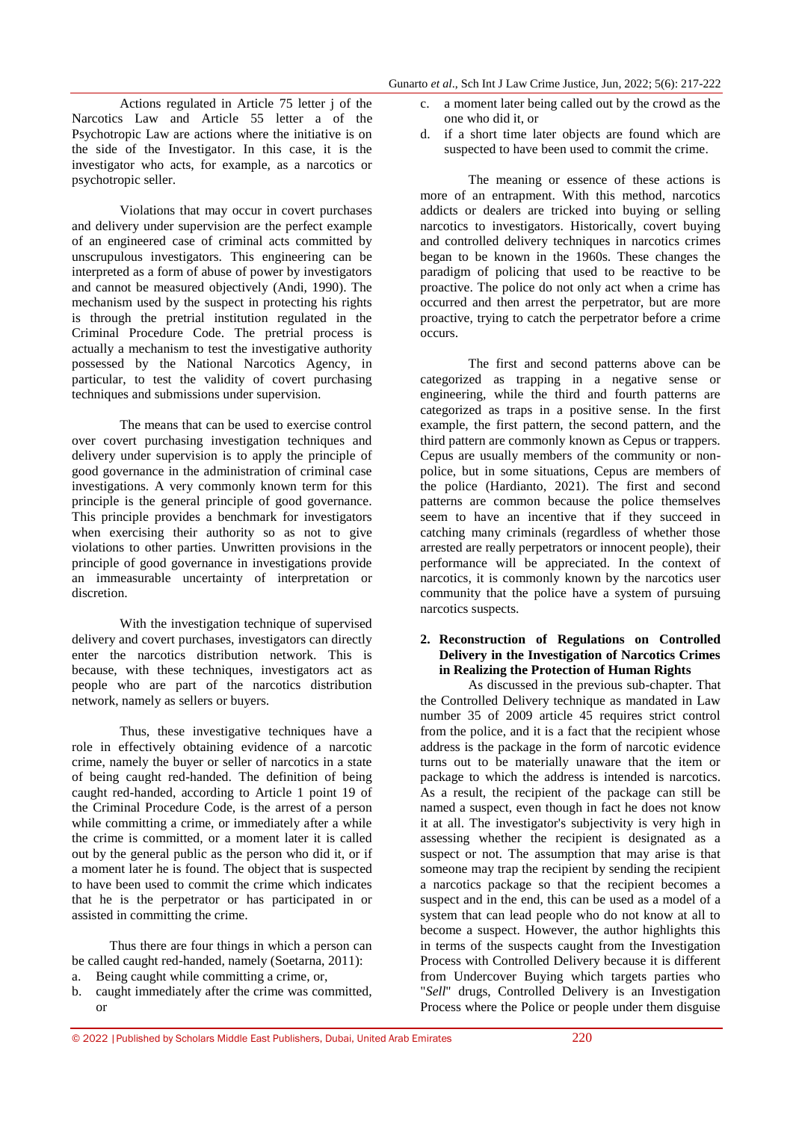Actions regulated in Article 75 letter j of the Narcotics Law and Article 55 letter a of the Psychotropic Law are actions where the initiative is on the side of the Investigator. In this case, it is the investigator who acts, for example, as a narcotics or psychotropic seller.

Violations that may occur in covert purchases and delivery under supervision are the perfect example of an engineered case of criminal acts committed by unscrupulous investigators. This engineering can be interpreted as a form of abuse of power by investigators and cannot be measured objectively (Andi, 1990). The mechanism used by the suspect in protecting his rights is through the pretrial institution regulated in the Criminal Procedure Code. The pretrial process is actually a mechanism to test the investigative authority possessed by the National Narcotics Agency, in particular, to test the validity of covert purchasing techniques and submissions under supervision.

The means that can be used to exercise control over covert purchasing investigation techniques and delivery under supervision is to apply the principle of good governance in the administration of criminal case investigations. A very commonly known term for this principle is the general principle of good governance. This principle provides a benchmark for investigators when exercising their authority so as not to give violations to other parties. Unwritten provisions in the principle of good governance in investigations provide an immeasurable uncertainty of interpretation or discretion.

With the investigation technique of supervised delivery and covert purchases, investigators can directly enter the narcotics distribution network. This is because, with these techniques, investigators act as people who are part of the narcotics distribution network, namely as sellers or buyers.

Thus, these investigative techniques have a role in effectively obtaining evidence of a narcotic crime, namely the buyer or seller of narcotics in a state of being caught red-handed. The definition of being caught red-handed, according to Article 1 point 19 of the Criminal Procedure Code, is the arrest of a person while committing a crime, or immediately after a while the crime is committed, or a moment later it is called out by the general public as the person who did it, or if a moment later he is found. The object that is suspected to have been used to commit the crime which indicates that he is the perpetrator or has participated in or assisted in committing the crime.

Thus there are four things in which a person can be called caught red-handed, namely (Soetarna, 2011): a. Being caught while committing a crime, or,

b. caught immediately after the crime was committed, or

- c. a moment later being called out by the crowd as the one who did it, or
- d. if a short time later objects are found which are suspected to have been used to commit the crime.

The meaning or essence of these actions is more of an entrapment. With this method, narcotics addicts or dealers are tricked into buying or selling narcotics to investigators. Historically, covert buying and controlled delivery techniques in narcotics crimes began to be known in the 1960s. These changes the paradigm of policing that used to be reactive to be proactive. The police do not only act when a crime has occurred and then arrest the perpetrator, but are more proactive, trying to catch the perpetrator before a crime occurs.

The first and second patterns above can be categorized as trapping in a negative sense or engineering, while the third and fourth patterns are categorized as traps in a positive sense. In the first example, the first pattern, the second pattern, and the third pattern are commonly known as Cepus or trappers. Cepus are usually members of the community or nonpolice, but in some situations, Cepus are members of the police (Hardianto, 2021). The first and second patterns are common because the police themselves seem to have an incentive that if they succeed in catching many criminals (regardless of whether those arrested are really perpetrators or innocent people), their performance will be appreciated. In the context of narcotics, it is commonly known by the narcotics user community that the police have a system of pursuing narcotics suspects.

#### **2. Reconstruction of Regulations on Controlled Delivery in the Investigation of Narcotics Crimes in Realizing the Protection of Human Rights**

As discussed in the previous sub-chapter. That the Controlled Delivery technique as mandated in Law number 35 of 2009 article 45 requires strict control from the police, and it is a fact that the recipient whose address is the package in the form of narcotic evidence turns out to be materially unaware that the item or package to which the address is intended is narcotics. As a result, the recipient of the package can still be named a suspect, even though in fact he does not know it at all. The investigator's subjectivity is very high in assessing whether the recipient is designated as a suspect or not. The assumption that may arise is that someone may trap the recipient by sending the recipient a narcotics package so that the recipient becomes a suspect and in the end, this can be used as a model of a system that can lead people who do not know at all to become a suspect. However, the author highlights this in terms of the suspects caught from the Investigation Process with Controlled Delivery because it is different from Undercover Buying which targets parties who "*Sell*" drugs, Controlled Delivery is an Investigation Process where the Police or people under them disguise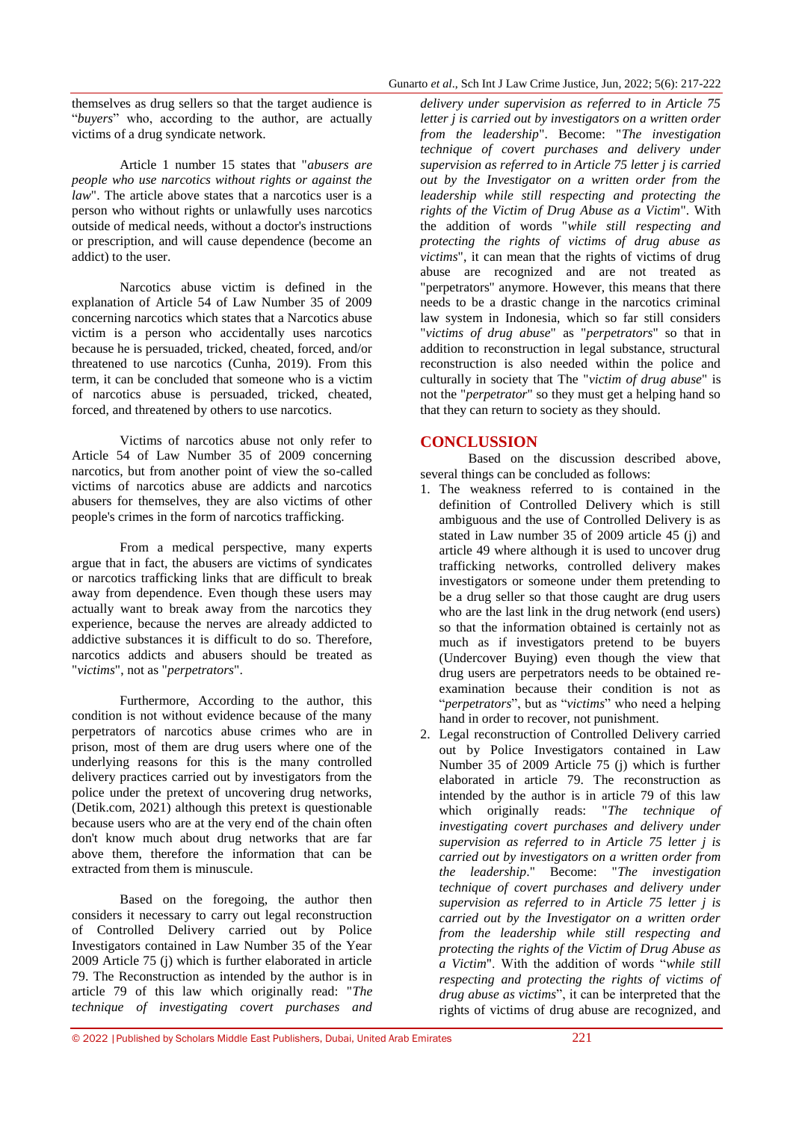themselves as drug sellers so that the target audience is "*buyers*" who, according to the author, are actually victims of a drug syndicate network.

Article 1 number 15 states that "*abusers are people who use narcotics without rights or against the law*". The article above states that a narcotics user is a person who without rights or unlawfully uses narcotics outside of medical needs, without a doctor's instructions or prescription, and will cause dependence (become an addict) to the user.

Narcotics abuse victim is defined in the explanation of Article 54 of Law Number 35 of 2009 concerning narcotics which states that a Narcotics abuse victim is a person who accidentally uses narcotics because he is persuaded, tricked, cheated, forced, and/or threatened to use narcotics (Cunha, 2019). From this term, it can be concluded that someone who is a victim of narcotics abuse is persuaded, tricked, cheated, forced, and threatened by others to use narcotics.

Victims of narcotics abuse not only refer to Article 54 of Law Number 35 of 2009 concerning narcotics, but from another point of view the so-called victims of narcotics abuse are addicts and narcotics abusers for themselves, they are also victims of other people's crimes in the form of narcotics trafficking.

From a medical perspective, many experts argue that in fact, the abusers are victims of syndicates or narcotics trafficking links that are difficult to break away from dependence. Even though these users may actually want to break away from the narcotics they experience, because the nerves are already addicted to addictive substances it is difficult to do so. Therefore, narcotics addicts and abusers should be treated as "*victims*", not as "*perpetrators*".

Furthermore, According to the author, this condition is not without evidence because of the many perpetrators of narcotics abuse crimes who are in prison, most of them are drug users where one of the underlying reasons for this is the many controlled delivery practices carried out by investigators from the police under the pretext of uncovering drug networks, (Detik.com, 2021) although this pretext is questionable because users who are at the very end of the chain often don't know much about drug networks that are far above them, therefore the information that can be extracted from them is minuscule.

Based on the foregoing, the author then considers it necessary to carry out legal reconstruction of Controlled Delivery carried out by Police Investigators contained in Law Number 35 of the Year 2009 Article 75 (j) which is further elaborated in article 79. The Reconstruction as intended by the author is in article 79 of this law which originally read: "*The technique of investigating covert purchases and* 

*delivery under supervision as referred to in Article 75 letter j is carried out by investigators on a written order from the leadership*". Become: "*The investigation technique of covert purchases and delivery under supervision as referred to in Article 75 letter j is carried out by the Investigator on a written order from the leadership while still respecting and protecting the rights of the Victim of Drug Abuse as a Victim*". With the addition of words "*while still respecting and protecting the rights of victims of drug abuse as victims*", it can mean that the rights of victims of drug abuse are recognized and are not treated as "perpetrators" anymore. However, this means that there needs to be a drastic change in the narcotics criminal law system in Indonesia, which so far still considers "*victims of drug abuse*" as "*perpetrators*" so that in addition to reconstruction in legal substance, structural reconstruction is also needed within the police and culturally in society that The "*victim of drug abuse*" is not the "*perpetrator*" so they must get a helping hand so that they can return to society as they should.

#### **CONCLUSSION**

Based on the discussion described above, several things can be concluded as follows:

- 1. The weakness referred to is contained in the definition of Controlled Delivery which is still ambiguous and the use of Controlled Delivery is as stated in Law number 35 of 2009 article 45 (j) and article 49 where although it is used to uncover drug trafficking networks, controlled delivery makes investigators or someone under them pretending to be a drug seller so that those caught are drug users who are the last link in the drug network (end users) so that the information obtained is certainly not as much as if investigators pretend to be buyers (Undercover Buying) even though the view that drug users are perpetrators needs to be obtained reexamination because their condition is not as "*perpetrators*", but as "*victims*" who need a helping hand in order to recover, not punishment.
- 2. Legal reconstruction of Controlled Delivery carried out by Police Investigators contained in Law Number 35 of 2009 Article 75 (j) which is further elaborated in article 79. The reconstruction as intended by the author is in article 79 of this law which originally reads: "*The technique of investigating covert purchases and delivery under supervision as referred to in Article 75 letter j is carried out by investigators on a written order from the leadership*." Become: "*The investigation technique of covert purchases and delivery under supervision as referred to in Article 75 letter j is carried out by the Investigator on a written order from the leadership while still respecting and protecting the rights of the Victim of Drug Abuse as a Victim*". With the addition of words "*while still respecting and protecting the rights of victims of drug abuse as victims*", it can be interpreted that the rights of victims of drug abuse are recognized, and